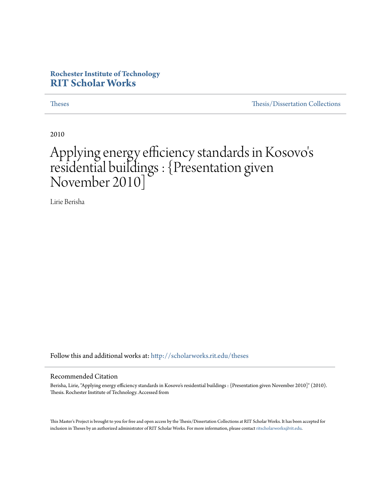#### **Rochester Institute of Technology [RIT Scholar Works](http://scholarworks.rit.edu?utm_source=scholarworks.rit.edu%2Ftheses%2F6975&utm_medium=PDF&utm_campaign=PDFCoverPages)**

[Theses](http://scholarworks.rit.edu/theses?utm_source=scholarworks.rit.edu%2Ftheses%2F6975&utm_medium=PDF&utm_campaign=PDFCoverPages) [Thesis/Dissertation Collections](http://scholarworks.rit.edu/etd_collections?utm_source=scholarworks.rit.edu%2Ftheses%2F6975&utm_medium=PDF&utm_campaign=PDFCoverPages)

2010

#### Applying energy efficiency standards in Kosovo ' s residential buildings : {Presentation given November 2010]

Lirie Berisha

Follow this and additional works at: [http://scholarworks.rit.edu/theses](http://scholarworks.rit.edu/theses?utm_source=scholarworks.rit.edu%2Ftheses%2F6975&utm_medium=PDF&utm_campaign=PDFCoverPages)

#### Recommended Citation

Berisha, Lirie, "Applying energy efficiency standards in Kosovo's residential buildings : {Presentation given November 2010]" (2010). Thesis. Rochester Institute of Technology. Accessed from

This Master's Project is brought to you for free and open access by the Thesis/Dissertation Collections at RIT Scholar Works. It has been accepted for inclusion in Theses by an authorized administrator of RIT Scholar Works. For more information, please contact [ritscholarworks@rit.edu](mailto:ritscholarworks@rit.edu).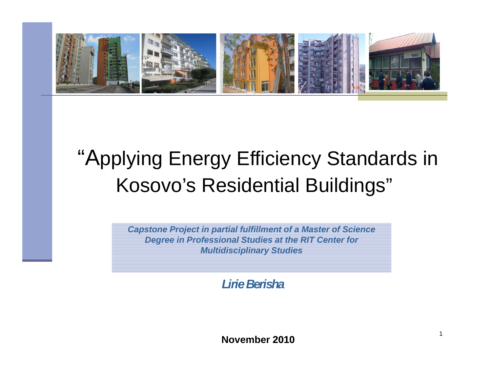

# "Applying Energy Efficiency Standards in Kosovo's Residential Buildings""

*Capstone Project in partial fulfillment of a Master of Science Degree in Professional Studies at the RIT Center for Multidisciplinary Studies*

*Lirie Berisha*

**November 2010**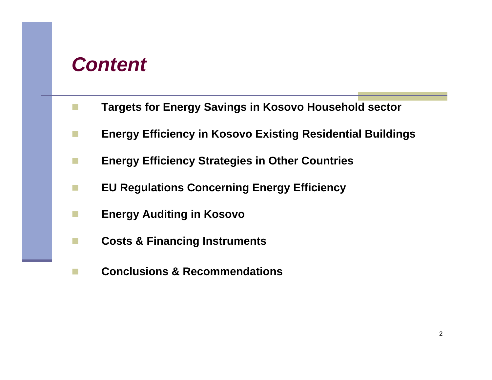### *Content*

- $\overline{\mathcal{A}}$ **Targets for Energy Savings in Kosovo Household sector**
- F. **Energy Efficiency in Kosovo Existing Residential Buildings**
- **Ta Energy Efficiency Strategies in Other Countries**
- $\mathcal{C}^{\mathcal{A}}$ **EU Regulations Concerning Energy Efficiency**
- **COL Energy Auditing in Kosovo**
- $\mathcal{C}^{\mathcal{A}}$ **Costs & Financing Instruments**
- $\mathcal{C}^{\mathcal{A}}$ **Conclusions & Recommendations**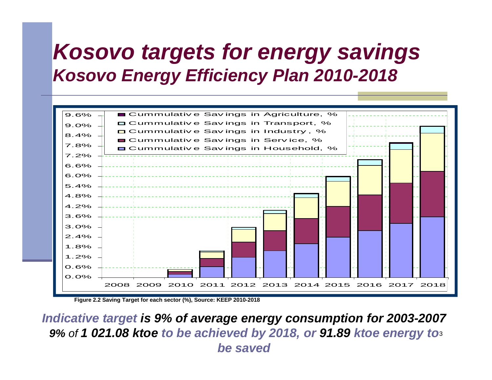# *Kosovo targets for energy savings K E Effi i Pl 2010 Kosovo Energy Effic iency Plan -2018*



**Figure 2.2 Saving Target for each sector (%), Source: KEEP 2010-2018**

**9%** of **1 021.08 ktoe to be achieved by 2018, or 91.89 ktoe energy to** $\scriptstyle\rm 3$ *Indicative target is 9% of average energy consumption for 2003-2007 be saved*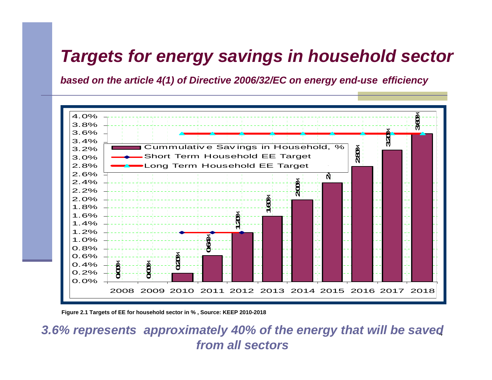### *Targets for energy savings in household sector*

*based on the article 4(1) of Directive 2006/32/EC on energy end-use efficiency*



Figure 2.1 Targets of EE for household sector in %, Source: KEEP 2010-2018

4 *3.6% represents approximately 40% of the energy that will be saved from all sectors*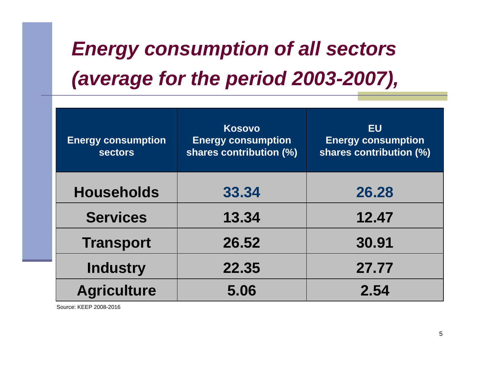# *Energy consumption of all sectors (average for the period 2003 -2007),*

| <b>Energy consumption</b><br><b>sectors</b> | <b>Kosovo</b><br><b>Energy consumption</b><br>shares contribution (%) | <b>EU</b><br><b>Energy consumption</b><br>shares contribution (%) |  |
|---------------------------------------------|-----------------------------------------------------------------------|-------------------------------------------------------------------|--|
| <b>Households</b>                           | 33.34                                                                 | 26.28                                                             |  |
| <b>Services</b>                             | 13.34                                                                 | 12.47                                                             |  |
| <b>Transport</b>                            | 26.52                                                                 | 30.91                                                             |  |
| <b>Industry</b>                             | 22.35                                                                 | 27,77                                                             |  |
| <b>Agriculture</b>                          | 5.06                                                                  | 2.54                                                              |  |

Source: KEEP 2008-2016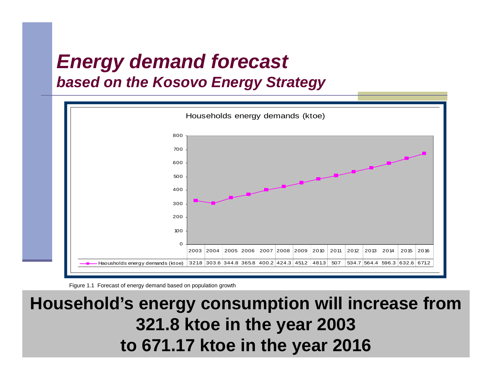# *Energy demand forecast based on the Kosovo Energy Strategy*



Figure 1.1 Forecast of energy demand based on population growth

### **Household's energy consumption will increase from Household s 321.8 ktoe in the year 2003 to 671.17 ktoe in the year 2016**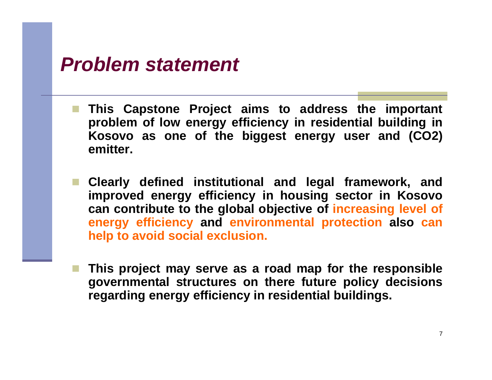### *Problem statement*

- **This Capstone Project aims to address the important** problem of low energy efficiency in residential building in **Kosovo as one of the biggest energy user and (CO2) emitter.**
- r. **Clearly defined institutional and legal framework, and improved energy efficiency in housing sector in Kosovo can contribute to the global ob jective <sup>o</sup> f increasin g level <sup>o</sup> f energy efficiency and environmental protection also can help to avoid social exclusion.**
- **This project may serve as <sup>a</sup> road map for the responsible governmental structures on there future policy decisions regarding energy efficiency in residential buildings.**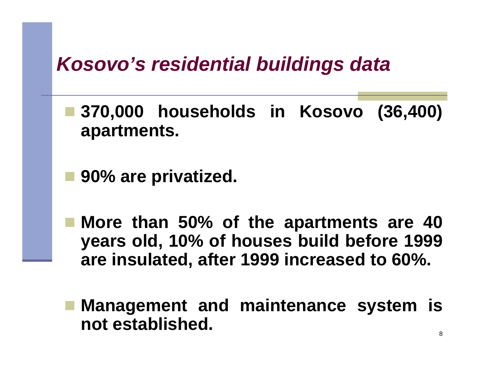# *Kosovo s' residential buildings data*

- parties<br>Parties **370,000 households in Kosovo (36,400) apartments.**
- parties<br>Parties **90% are privatized.**
- **More than 50% of the apartments are 40 years old, 10% of houses build before 1999 are insulated insulated, after 1999 increased to 60%.**
- **Management and maintenance system is not established.**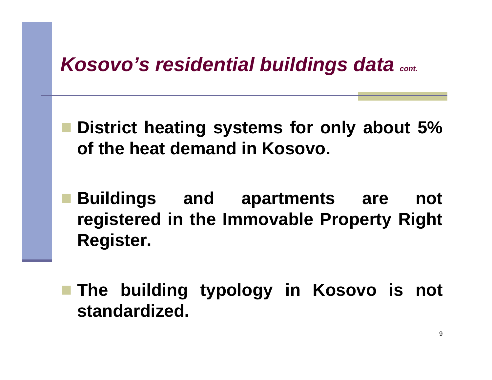# *Kosovo's residential buildings data*  $_{cont.}$

 **District heating systems for only about 5% of the heat demand in Kosovo.**

 **Buildings and apartments are not** *registered in the Immovable Property Right* **Register.**

 **The building typology in Kosovo is not standardized.**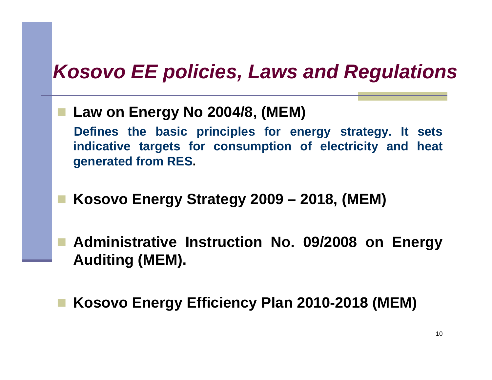# *Kosovo EE policies Laws and Regulations Kosovo policies,*

**Law on Energy No 2004/8, ( ) MEM**

**Defines the basic principles for energy strategy. It sets indicative targets for consumption of electricity and heat generated from RES.**

**Kosovo Energy Strategy 2009 – 2018, (MEM)**

 **Administrative Instruction No. 09/2008 on Energy Auditing (MEM).**

 $\blacksquare$  **Kosovo Energy Efficiency Plan 2010-2018 (MEM)**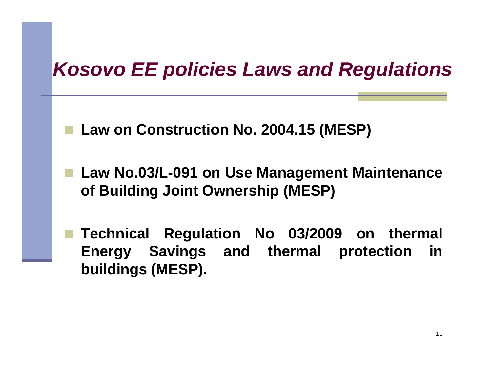# *Kosovo EE policies Laws and Regulations Kosovo*

**Law on Construction No. 2004.15 (MESP)**

 **Law No.03/L-091 on Use Management Maintenance of Building Joint Ownership (MESP)**

 **Technical Regulation No 03/2009 on thermal Energy Savings and thermal protection in buildings (MESP).**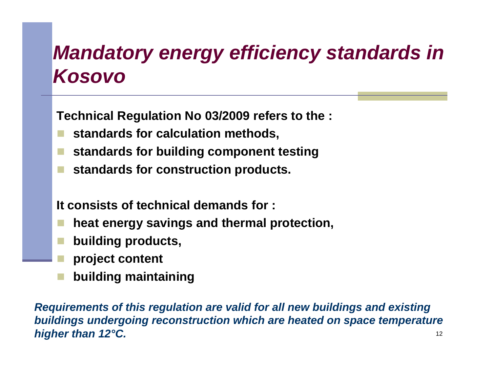# *Mandatory energy efficiency standards in Kosovo*

**Technical Regulation No 03 /2009 refers to the :**

- r. **standards for calculation methods,**
- **standards for building component testing**
- **st dd an dar d s for const ti ruc on prod t uc ts.**

### **It consists of technical demands for :**

- r. **heat energy savings and thermal protection,**
- **building products,**
- **project content**
- **building maintaining**

Requirements of this regulation are valid for all new buildings and existing 12*buildings undergoing reconstruction which are heated on space temperature higher than 12°C.*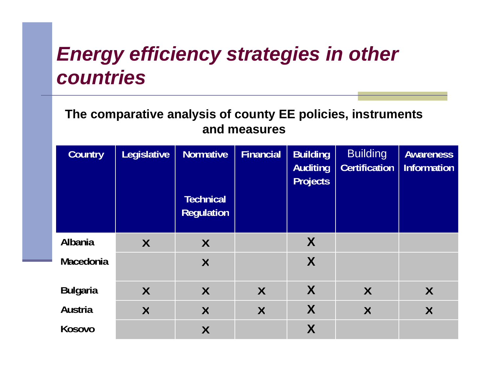# *Energy efficiency strategies in other countries*

**The comparative analysis of county EE policies, instruments and measures** 

| <b>Country</b>  | <b>Legislative</b>      | <b>Normative</b><br><b>Technical</b><br><b>Regulation</b> | <b>Financial</b> | <b>Building</b><br><b>Auditing</b><br><b>Projects</b> | <b>Building</b><br><b>Certification</b> | <b>Awareness</b><br><b>Information</b> |
|-----------------|-------------------------|-----------------------------------------------------------|------------------|-------------------------------------------------------|-----------------------------------------|----------------------------------------|
| <b>Albania</b>  | $\sf X$                 | X                                                         |                  | X                                                     |                                         |                                        |
| Macedonia       |                         | $\sf X$                                                   |                  | X                                                     |                                         |                                        |
| <b>Bulgaria</b> | $\sf X$                 | $\sf X$                                                   | $\sf X$          | X                                                     | $\sf{X}$                                | $\sf X$                                |
| <b>Austria</b>  | $\overline{\mathsf{X}}$ | $\sf X$                                                   | $\sf X$          | X                                                     | X                                       | X                                      |
| Kosovo          |                         | $\sf X$                                                   |                  | X                                                     |                                         |                                        |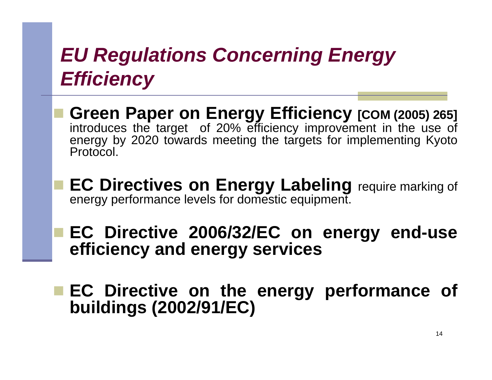# *EU Regulations Concerning Energy Efficiency*

- **Green Paper on Energy Efficiency [COM (2005 ) 265 ]** introduces the target of 20% efficiency improvement in the use of energy by 2020 towards meeting the targets for implementing Kyoto Protocol.
- **EC Directives on Energy Labeling** require marking of energy performance levels for domestic equipment.

 **EC Directive 2006/32/EC on energy end-use efficiency and energy services**

 **EC Directive on the energy performance of buildings (2002 /91/EC)**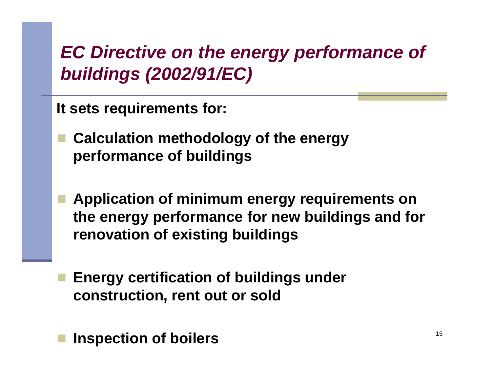# *EC Directive on the energy performance of b ildi (2002/91/EC) uildings*

**It sets requirements for:**

- **Calculation methodology of the energy performance of buildings**
- **Application of minimum energy requirements on th f f b ildi d f the energy per formance for new uildings an for renovation of existing buildings**
- **Energy certification of buildings under construction, rent out or sold**

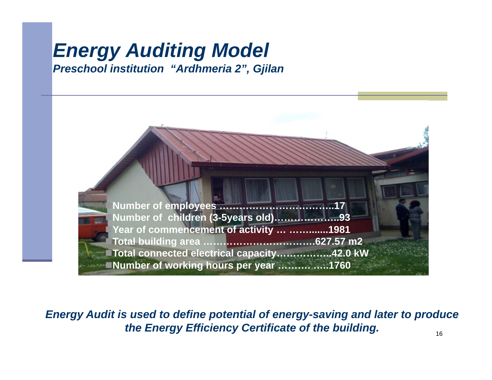#### *Energy Auditing Model Preschool institution "Ardhmeria 2 Ardhmeria ", Gjilan*



*Energy Audit is used to define potential of energy-saving and later to produce the Energy Efficiency Certificate of the building.*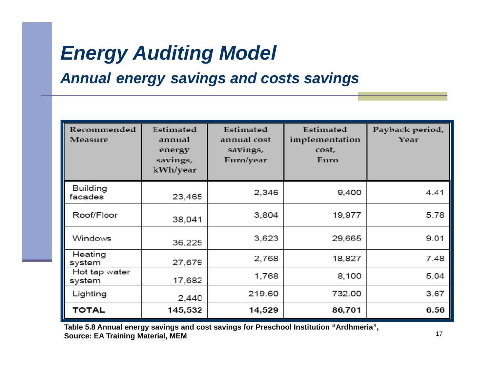# *Energy Auditing Model*

### *Annua l energy savings and costs savings*

| Recommended<br>Measure     | Estimated<br>annual<br>energy<br>savings,<br>kWh/year | Estimated<br>annual cost<br>savings,<br>Euro/year | Estimated<br>implementation<br>cost,<br>Euro | Payback period,<br>Year |
|----------------------------|-------------------------------------------------------|---------------------------------------------------|----------------------------------------------|-------------------------|
| <b>Building</b><br>facades | 23,465                                                | 2,346                                             | 9,400                                        | 4.41                    |
| Roof/Floor                 | 38,041                                                | 3,804                                             | 19,977                                       | 5.78                    |
| Windows                    | 36,225                                                | 3,623                                             | 29,665                                       | 9.01                    |
| Heating<br>system          | 27,679                                                | 2,768                                             | 18,827                                       | 7.48                    |
| Hot tap water<br>system    | 17,682                                                | 1,768                                             | 8,100                                        | 5.04                    |
| Lighting                   | 2,440                                                 | 219.60                                            | 732.00                                       | 3.67                    |
| TOTAL                      | 145,532                                               | 14,529                                            | 86,701                                       | 6.56                    |

**Table 5.8 Annual energy savings and cost savings for Preschool Institution "Ardhmeria", Source: EA Training Material, MEM**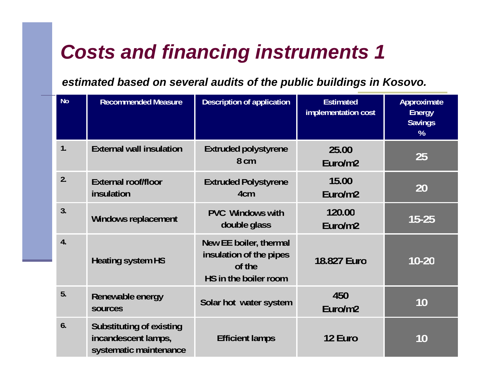# *Costs and financing instruments 1*

### *estimated based on several audits of the public buildings in Kosovo.*

| <b>No</b>        | <b>Recommended Measure</b>                                                       | <b>Description of application</b>                                                    | <b>Estimated</b><br>implementation cost | Approximate<br><b>Energy</b><br><b>Savings</b><br>% |
|------------------|----------------------------------------------------------------------------------|--------------------------------------------------------------------------------------|-----------------------------------------|-----------------------------------------------------|
| 1.               | <b>External wall insulation</b>                                                  | <b>Extruded polystyrene</b><br>8 cm                                                  | 25.00<br>Euro/m2                        | 25                                                  |
| 2.               | <b>External roof/floor</b><br>insulation                                         | <b>Extruded Polystyrene</b><br>4 <sub>cm</sub>                                       | 15.00<br>Euro/m2                        | 20                                                  |
| 3.               | Windows replacement                                                              | <b>PVC</b> Windows with<br>double glass                                              | 120.00<br>Euro/m2                       | $15 - 25$                                           |
| $\overline{4}$ . | <b>Heating system HS</b>                                                         | New EE boiler, thermal<br>insulation of the pipes<br>of the<br>HS in the boiler room | 18.827 Euro                             | $10 - 20$                                           |
| 5.               | Renewable energy<br>sources                                                      | Solar hot water system                                                               | 450<br>Euro/m2                          | 10                                                  |
| 6.               | <b>Substituting of existing</b><br>incandescent lamps,<br>systematic maintenance | <b>Efficient lamps</b>                                                               | 12 Euro                                 | 10                                                  |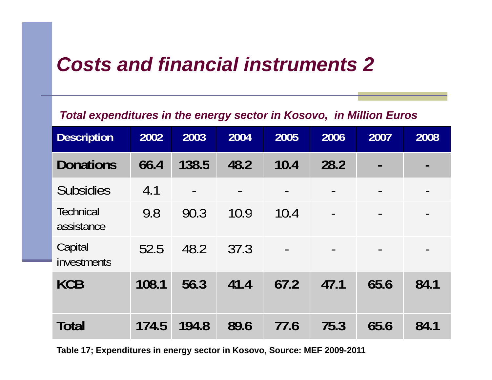# *Costs and financial instruments 2*

#### Total expenditures in the energy sector in Kosovo, in Million Euros

| <b>Description</b>      | 2002  | 2003  | 2004 | 2005                         | 2006 | 2007           | 2008                         |
|-------------------------|-------|-------|------|------------------------------|------|----------------|------------------------------|
| <b>Donations</b>        | 66.4  | 138.5 | 48.2 | 10.4                         | 28.2 | $\blacksquare$ | $\blacksquare$               |
| <b>Subsidies</b>        | 4.1   |       |      |                              |      |                | $\qquad \qquad$              |
| Technical<br>assistance | 9.8   | 90.3  | 10.9 | 10.4                         |      |                | $\blacksquare$               |
| Capital<br>investments  | 52.5  | 48.2  | 37.3 | $\qquad \qquad \blacksquare$ |      |                | $\qquad \qquad \blacksquare$ |
| <b>KCB</b>              | 108.1 | 56.3  | 41.4 | 67.2                         | 47.1 | 65.6           | 84.1                         |
| <b>Total</b>            | 174.5 | 194.8 | 89.6 | 77.6                         | 75.3 | 65.6           | 84.1                         |

**Table 17; Expenditures in energy sector in Kosovo, Source: MEF 2009-2011**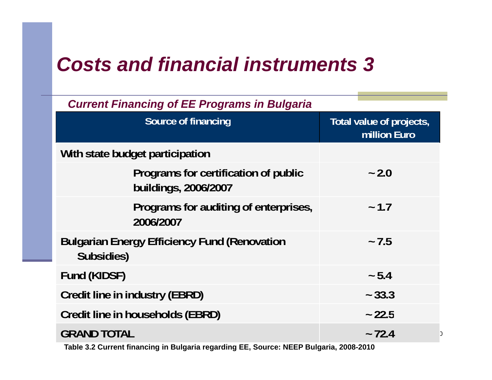# *Costs and financial instruments 3*

| <b>Current Financing of EE Programs in Bulgaria</b>               |                                          |  |  |  |  |  |
|-------------------------------------------------------------------|------------------------------------------|--|--|--|--|--|
| <b>Source of financing</b>                                        | Total value of projects,<br>million Euro |  |  |  |  |  |
| With state budget participation                                   |                                          |  |  |  |  |  |
| Programs for certification of public<br>buildings, 2006/2007      | $-2.0$                                   |  |  |  |  |  |
| Programs for auditing of enterprises,<br>2006/2007                | ~1.7                                     |  |  |  |  |  |
| <b>Bulgarian Energy Efficiency Fund (Renovation</b><br>Subsidies) | $-7.5$                                   |  |  |  |  |  |
| Fund (KIDSF)                                                      | ~5.4                                     |  |  |  |  |  |
| <b>Credit line in industry (EBRD)</b>                             | $-33.3$                                  |  |  |  |  |  |
| Credit line in households (EBRD)                                  | ~22.5                                    |  |  |  |  |  |
| <b>GRAND TOTAL</b>                                                | $-72.4$                                  |  |  |  |  |  |

**Table 3.2 Current financing in Bulgaria regarding EE, Source: NEEP Bulgaria, 2008-2010**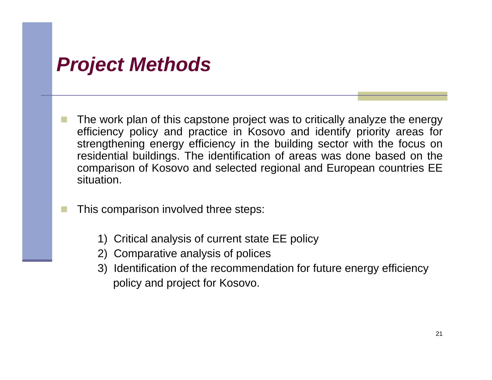## *Project Methods*

- The work plan of this capstone project was to critically analyze the energy efficiency policy and practice in Kosovo and identify priority areas for strengthening energy efficiency in the building sector with the focus on residential buildings. The identification of areas was done based on the comparison of Kosovo and selected regional and European countries EE situation.
	- This comparison involved three steps:
		- 1) Critical analysis of current state EE policy
		- 2) Comparative analysis of polices
		- 3) Identification of the recommendation for future energy efficiency policy and project for Kosovo.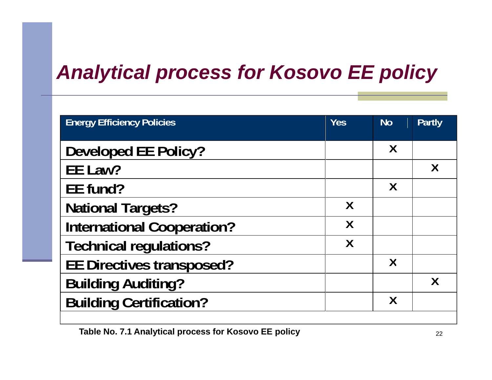# *Analytical process for Kosovo EE policy process*

| <b>Energy Efficiency Policies</b> | <b>Yes</b> | <b>No</b>                 | <b>Partly</b>    |
|-----------------------------------|------------|---------------------------|------------------|
| <b>Developed EE Policy?</b>       |            | Χ                         |                  |
| EE Law?                           |            |                           | $\boldsymbol{X}$ |
| EE fund?                          |            | $\boldsymbol{\mathsf{X}}$ |                  |
| <b>National Targets?</b>          | Χ          |                           |                  |
| <b>International Cooperation?</b> | X          |                           |                  |
| <b>Technical regulations?</b>     | Χ          |                           |                  |
| <b>EE Directives transposed?</b>  |            | X                         |                  |
| <b>Building Auditing?</b>         |            |                           | Χ                |
| <b>Building Certification?</b>    |            | Х                         |                  |
|                                   |            |                           |                  |

Table No. 7.1 Analytical process for Kosovo EE policy **COVID-100 22 22 22 22 23**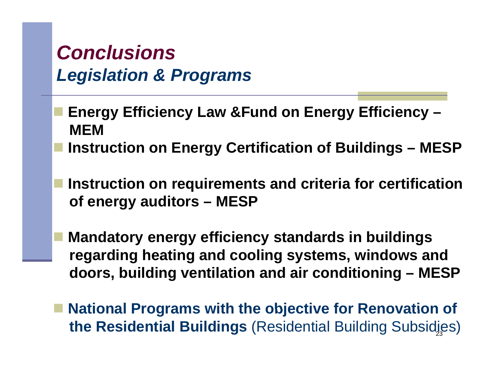# *Conclusions L i l ti & P Legislation Programs*

- **Energy Efficiency Law &Fund on Energy Efficiency – gy y gy y MEM** 
	- **Instruction on Energy Certification of Buildings – MESP**
- **Instruction on requirements and criteria for certification of energy auditors – MESP**
	- **Mandatory energy efficiency standards in buildings regarding heating and cooling systems, windows and doors, building ventilation and air conditioning – MESP**
- **National Programs with the objective for Renovation of** 23**the Residential Buildings** (Residential Building Subsidies)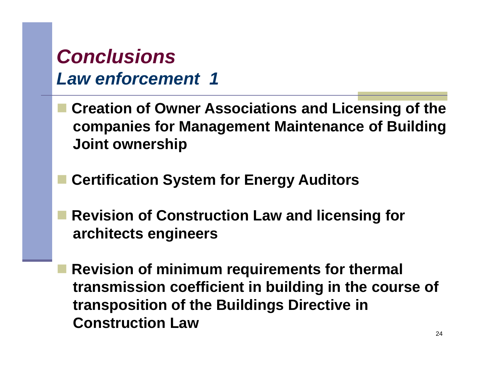# *Conclusions Law enforcement 1*

- **Creation of Owner Associations and Licensing of the companies for Management Maintenance of Building Joint ownership**
- **Certification System for Energy Auditors**
- **Revision of Construction Law and licensing for architects engineers**
- **Revision of minimum requirements for thermal transmission coefficient in building in the course of transposition of the Buildings Directive in Construction Law**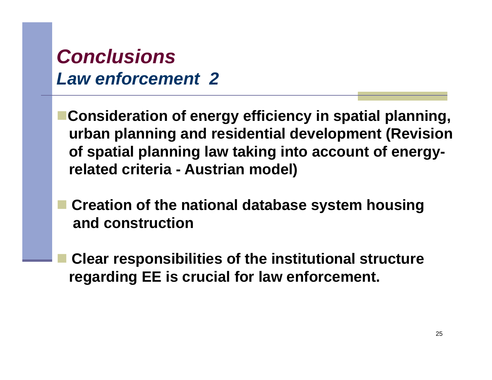# *Conclusions Law enforcement 2*

**Consideration of energy efficiency in spatial planning planning, urban planning and residential development (Revision of spatial planning law taking into account of energyrel t d it i lated criteria - A t i d l) Austrian model)**

- **Creation of the national database system housing and construction**
- **Clear responsibilities of the institutional structure regarding EE is crucial for law enforcement.**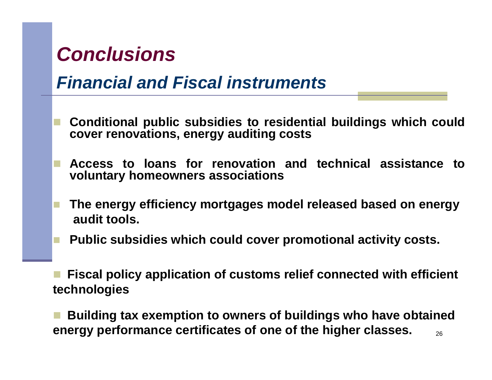# *Conclusions*

### *Financial and Fiscal instruments*

- Conditional public subsidies to residential buildings which could **cover renovations, energy auditing costs**
- **Access to loans for renovation and technical assistance to voluntary homeowners associations**
- **The energy efficiency mortgages model released based on energy audit tools.**
- **Public subsidies which could cover promotional activity costs.**
- **Fiscal policy application of customs relief connected with efficient technologies**
- 26 **Building tax exemption to owners of buildings who have obtained energy performance certificates of one of the higher classes.**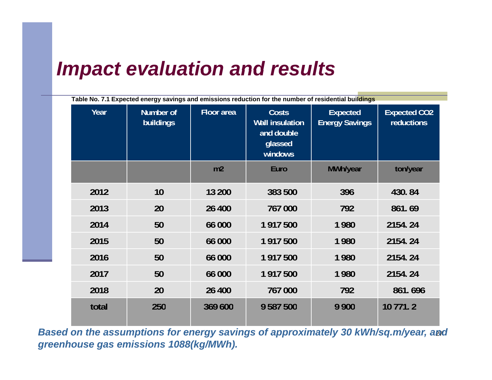## *Impact evaluation and results*

| Table No. 7.1 Expected energy savings and emissions reduction for the number of residential buildings |                               |                   |                                                                            |                                          |                                   |  |
|-------------------------------------------------------------------------------------------------------|-------------------------------|-------------------|----------------------------------------------------------------------------|------------------------------------------|-----------------------------------|--|
| Year                                                                                                  | Number of<br><b>buildings</b> | <b>Floor</b> area | <b>Costs</b><br><b>Wall insulation</b><br>and double<br>glassed<br>windows | <b>Expected</b><br><b>Energy Savings</b> | <b>Expected CO2</b><br>reductions |  |
|                                                                                                       |                               | m2                | Euro                                                                       | MWh/year                                 | ton/year                          |  |
| 2012                                                                                                  | 10                            | 13 200            | 383 500                                                                    | 396                                      | 430.84                            |  |
| 2013                                                                                                  | 20                            | 26 400            | 767 000                                                                    | 792                                      | 861.69                            |  |
| 2014                                                                                                  | 50                            | 66 000            | 1 917 500                                                                  | 1980                                     | 2154.24                           |  |
| 2015                                                                                                  | 50                            | 66 000            | 1 917 500                                                                  | 1980                                     | 2154.24                           |  |
| 2016                                                                                                  | 50                            | 66 000            | 1 917 500                                                                  | 1980                                     | 2154.24                           |  |
| 2017                                                                                                  | 50                            | 66 000            | 1 917 500                                                                  | 1980                                     | 2154.24                           |  |
| 2018                                                                                                  | 20                            | 26 400            | 767 000                                                                    | 792                                      | 861.696                           |  |
| total                                                                                                 | 250                           | 369 600           | 9 587 500                                                                  | 9 9 0 0                                  | 10 771.2                          |  |

27 *Based on the assumptions for energy savings of approximately 30 kWh/sq.m/year, and greenhouse gas emissions 1088(kg/MWh).*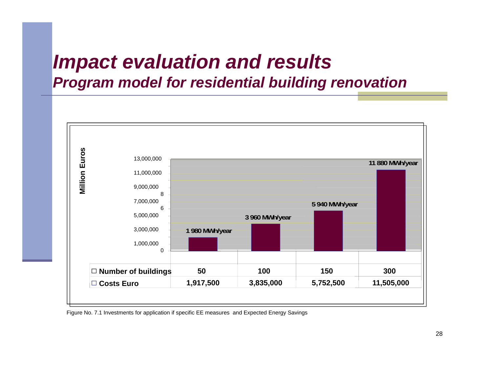## *Impact evaluation and results Program model for residential building renovation*



Figure No. 7.1 Investments for application if specific EE measures and Expected Energy Savings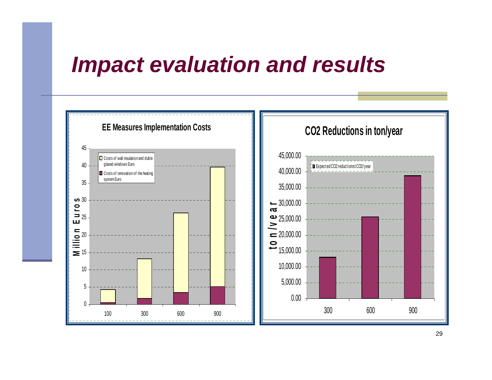# *Impact evaluation and results Impact and*

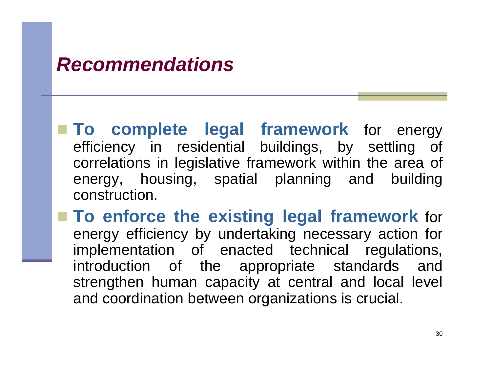### *Recommendations*

 **To complete legal framework** for energy efficiency in residential buildings, by settling of correlations in legislative framework within the area of energy, housing, spatial planning and building construction.

**To enforce the existing legal framework** for energy efficiency by undertaking necessary action for implementation of enacted technical regulations, introduction of the appropriate standards and strengthen human capacity at central and local level and coordination between organizations is crucial.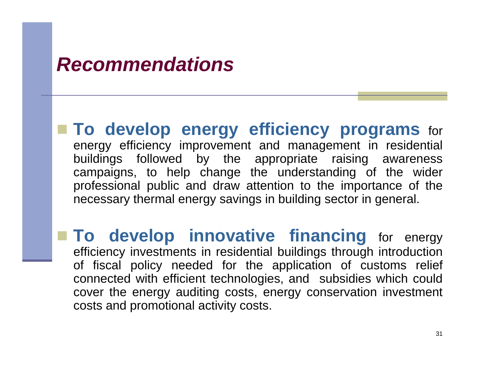### *Recommendations*

 **To develop energy efficiency programs** for energy efficiency improvement and management in residential buildings followed by the appropriate raising awareness campaigns, to help change the understanding <sup>o</sup> f the wide r professional public and draw attention to the importance of the necessary thermal energy savings in building sector in general.

 **To develop innovative financing** for energy efficiency investments in residential buildings through introduction of fiscal policy needed for the application of customs relief connected with efficient technologies, and subsidies which could cover the energy auditing costs, energy conservation investment costs and promotional activity costs.